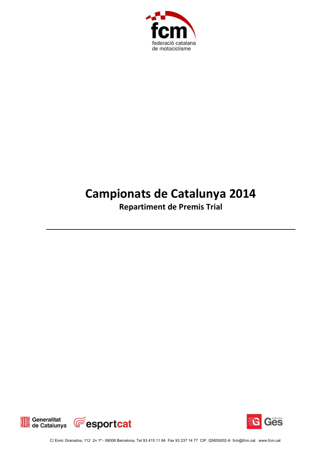

## **Campionats de Catalunya 2014**

**Repartiment de Premis Trial**





C/ Enric Granados, 112 2n 1ª - 08008 Barcelona. Tel 93 415 11 84 Fax 93 237 14 77 CIF: Q5855002-A fcm@fcm.cat www.fcm.cat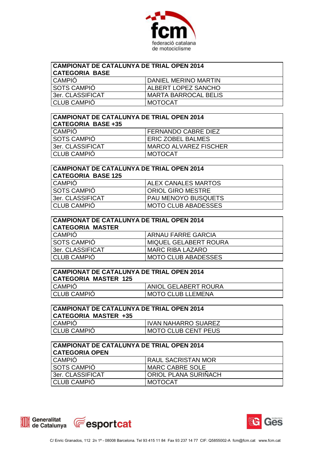

| CAMPIONAT DE CATALUNYA DE TRIAL OPEN 2014<br><b>CATEGORIA BASE</b> |                             |  |
|--------------------------------------------------------------------|-----------------------------|--|
| <b>CAMPIÓ</b>                                                      | DANIEL MERINO MARTIN        |  |
| <b>SOTS CAMPIÓ</b>                                                 | ALBERT LOPEZ SANCHO         |  |
| 3er. CLASSIFICAT                                                   | <b>MARTA BARROCAL BELIS</b> |  |
| <b>CLUB CAMPIÓ</b>                                                 | MOTOCAT                     |  |

| CAMPIONAT DE CATALUNYA DE TRIAL OPEN 2014<br><b>CATEGORIA BASE +35</b> |                              |  |
|------------------------------------------------------------------------|------------------------------|--|
| CAMPIÓ                                                                 | FERNANDO CABRE DIEZ          |  |
| <b>SOTS CAMPIÓ</b>                                                     | <b>ERIC ZOBEL BALMES</b>     |  |
| 3er. CLASSIFICAT                                                       | <b>MARCO ALVAREZ FISCHER</b> |  |
| <b>CLUB CAMPIÓ</b>                                                     | <b>MOTOCAT</b>               |  |

| <b>CAMPIONAT DE CATALUNYA DE TRIAL OPEN 2014</b><br><b>CATEGORIA BASE 125</b> |                            |  |
|-------------------------------------------------------------------------------|----------------------------|--|
| <b>CAMPIÓ</b>                                                                 | <b>ALEX CANALES MARTOS</b> |  |
| <b>SOTS CAMPIÓ</b>                                                            | ORIOL GIRO MESTRE          |  |
| 3er. CLASSIFICAT                                                              | <b>PAU MENOYO BUSQUETS</b> |  |
| CLUB CAMPIÓ                                                                   | <b>MOTO CLUB ABADESSES</b> |  |

| <b>CAMPIONAT DE CATALUNYA DE TRIAL OPEN 2014</b><br><b>CATEGORIA MASTER</b> |                            |  |
|-----------------------------------------------------------------------------|----------------------------|--|
| <b>CAMPIÓ</b>                                                               | ARNAU FARRE GARCIA         |  |
| <b>SOTS CAMPIÓ</b>                                                          | MIQUEL GELABERT ROURA      |  |
| 3er. CLASSIFICAT                                                            | <b>MARC RIBA LAZARO</b>    |  |
| <b>CLUB CAMPIÓ</b>                                                          | <b>MOTO CLUB ABADESSES</b> |  |

| <b>CAMPIONAT DE CATALUNYA DE TRIAL OPEN 2014</b><br><b>CATEGORIA MASTER 125</b> |                          |
|---------------------------------------------------------------------------------|--------------------------|
| <b>CAMPIO</b>                                                                   | I ANIOL GELABERT ROURA   |
| <b>CLUB CAMPIO</b>                                                              | <b>MOTO CLUB LLEMENA</b> |

| <b>CAMPIONAT DE CATALUNYA DE TRIAL OPEN 2014</b><br>CATEGORIA MASTER +35 |                            |
|--------------------------------------------------------------------------|----------------------------|
| <b>CAMPIO</b>                                                            | <b>IVAN NAHARRO SUAREZ</b> |
| <b>CLUB CAMPIO</b>                                                       | MOTO CLUB CENT PEUS        |

| CAMPIONAT DE CATALUNYA DE TRIAL OPEN 2014<br><b>CATEGORIA OPEN</b> |                           |
|--------------------------------------------------------------------|---------------------------|
| <b>CAMPIO</b>                                                      | <b>RAUL SACRISTAN MOR</b> |
| <b>SOTS CAMPIÓ</b>                                                 | MARC CABRE SOLE           |
| 3er. CLASSIFICAT                                                   | ORIOL PLANA SURIÑACH      |
| CLUB CAMPIÓ                                                        | MOTOCAT                   |



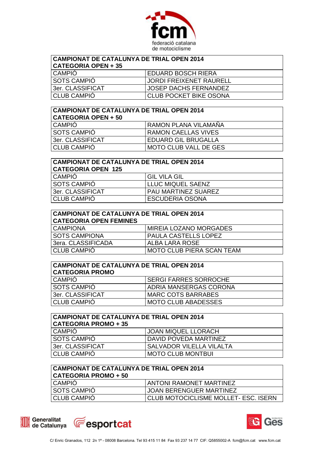

| CAMPIONAT DE CATALUNYA DE TRIAL OPEN 2014<br>  CATEGORIA OPEN + 35 |                               |  |
|--------------------------------------------------------------------|-------------------------------|--|
| <b>CAMPIO</b>                                                      | EDUARD BOSCH RIERA            |  |
| <b>SOTS CAMPIÓ</b>                                                 | JORDI FREIXENET RAURELL       |  |
| 3er. CLASSIFICAT                                                   | <b>JOSEP DACHS FERNANDEZ</b>  |  |
| <b>CLUB CAMPIÓ</b>                                                 | <b>CLUB POCKET BIKE OSONA</b> |  |

| CAMPIONAT DE CATALUNYA DE TRIAL OPEN 2014<br><b>CATEGORIA OPEN + 50</b> |                              |  |
|-------------------------------------------------------------------------|------------------------------|--|
| <b>CAMPIÓ</b>                                                           | RAMON PLANA VILAMAÑA         |  |
| <b>SOTS CAMPIÓ</b>                                                      | <b>RAMON CAELLAS VIVES</b>   |  |
| 3er. CLASSIFICAT                                                        | <b>EDUARD GIL BRUGALLA</b>   |  |
| <b>CLUB CAMPIÓ</b>                                                      | <b>MOTO CLUB VALL DE GES</b> |  |

| <b>CAMPIONAT DE CATALUNYA DE TRIAL OPEN 2014</b><br><b>CATEGORIA OPEN 125</b> |                            |  |
|-------------------------------------------------------------------------------|----------------------------|--|
| <b>CAMPIÓ</b>                                                                 | <b>GIL VILA GIL</b>        |  |
| <b>SOTS CAMPIÓ</b>                                                            | <b>LLUC MIQUEL SAENZ</b>   |  |
| 3er. CLASSIFICAT                                                              | <b>PAU MARTINEZ SUAREZ</b> |  |
| <b>CLUB CAMPIÓ</b>                                                            | <b>ESCUDERIA OSONA</b>     |  |

| CAMPIONAT DE CATALUNYA DE TRIAL OPEN 2014<br><b>CATEGORIA OPEN FEMINES</b> |                                  |  |
|----------------------------------------------------------------------------|----------------------------------|--|
| <b>CAMPIONA</b>                                                            | MIREIA LOZANO MORGADES           |  |
| <b>SOTS CAMPIONA</b>                                                       | PAULA CASTELLS LOPEZ             |  |
| l 3era. CLASSIFICADA                                                       | ALBA LARA ROSE                   |  |
| <b>CLUB CAMPIÓ</b>                                                         | <b>MOTO CLUB PIERA SCAN TEAM</b> |  |

| <b>CAMPIONAT DE CATALUNYA DE TRIAL OPEN 2014</b><br><b>CATEGORIA PROMO</b> |                              |  |
|----------------------------------------------------------------------------|------------------------------|--|
| <b>CAMPIÓ</b>                                                              | <b>SERGI FARRES SORROCHE</b> |  |
| <b>SOTS CAMPIÓ</b>                                                         | ADRIA MANSERGAS CORONA       |  |
| 3er. CLASSIFICAT                                                           | <b>MARC COTS BARRABES</b>    |  |
| <b>CLUB CAMPIÓ</b>                                                         | <b>MOTO CLUB ABADESSES</b>   |  |

| <b>CAMPIONAT DE CATALUNYA DE TRIAL OPEN 2014</b><br><b>CATEGORIA PROMO + 35</b> |                                 |  |
|---------------------------------------------------------------------------------|---------------------------------|--|
| I CAMPIO                                                                        | <b>JOAN MIQUEL LLORACH</b>      |  |
| <b>SOTS CAMPIÓ</b>                                                              | DAVID POVEDA MARTINEZ           |  |
| 3er. CLASSIFICAT                                                                | <b>SALVADOR VILELLA VILALTA</b> |  |
| <b>CLUB CAMPIÓ</b>                                                              | <b>MOTO CLUB MONTBUI</b>        |  |

| <b>CAMPIONAT DE CATALUNYA DE TRIAL OPEN 2014</b><br><b>CATEGORIA PROMO + 50</b> |                                      |
|---------------------------------------------------------------------------------|--------------------------------------|
| <b>CAMPIO</b>                                                                   | <b>ANTONI RAMONET MARTINEZ</b>       |
| SOTS CAMPIO                                                                     | <b>JOAN BERENGUER MARTINEZ</b>       |
| <b>CLUB CAMPIO</b>                                                              | CLUB MOTOCICLISME MOLLET- ESC. ISERN |





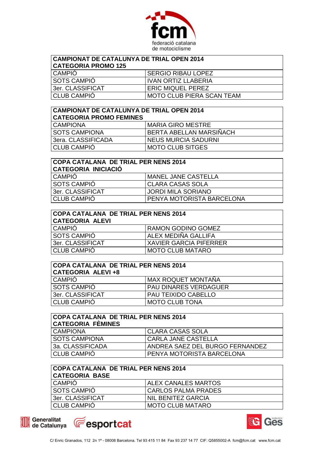

| <b>CAMPIONAT DE CATALUNYA DE TRIAL OPEN 2014</b><br>  CATEGORIA PROMO 125 |                                  |  |
|---------------------------------------------------------------------------|----------------------------------|--|
| <b>CAMPIÓ</b>                                                             | <b>SERGIO RIBAU LOPEZ</b>        |  |
| <b>SOTS CAMPIÓ</b>                                                        | <b>IVAN ORTIZ LLABERIA</b>       |  |
| 3er. CLASSIFICAT                                                          | <b>ERIC MIQUEL PEREZ</b>         |  |
| <b>CLUB CAMPIÓ</b>                                                        | <b>MOTO CLUB PIERA SCAN TEAM</b> |  |

| CAMPIONAT DE CATALUNYA DE TRIAL OPEN 2014<br><b>CATEGORIA PROMO FEMINES</b> |                            |  |
|-----------------------------------------------------------------------------|----------------------------|--|
| <b>CAMPIONA</b>                                                             | MARIA GIRO MESTRE          |  |
| <b>SOTS CAMPIONA</b>                                                        | BERTA ABELLAN MARSIÑACH    |  |
| l 3era. CLASSIFICADA                                                        | <b>NEUS MURCIA SADURNI</b> |  |
| <b>CLUB CAMPIÓ</b>                                                          | <b>MOTO CLUB SITGES</b>    |  |

| <b>COPA CATALANA DE TRIAL PER NENS 2014</b><br><b>CATEGORIA INICIACIÓ</b> |                           |  |
|---------------------------------------------------------------------------|---------------------------|--|
| <b>CAMPIÓ</b><br><b>MANEL JANE CASTELLA</b>                               |                           |  |
| <b>SOTS CAMPIÓ</b>                                                        | <b>CLARA CASAS SOLA</b>   |  |
| 3er. CLASSIFICAT                                                          | <b>JORDI MILA SORIANO</b> |  |
| <b>CLUB CAMPIÓ</b>                                                        | PENYA MOTORISTA BARCELONA |  |

| <b>COPA CATALANA DE TRIAL PER NENS 2014</b> |  |
|---------------------------------------------|--|
|                                             |  |

| <b>CATEGORIA ALEVI</b> |                          |
|------------------------|--------------------------|
| <b>CAMPIO</b>          | I RAMON GODINO GOMEZ     |
| <b>SOTS CAMPIO</b>     | ALEX MEDINA GALLIFA      |
| 3er. CLASSIFICAT       | I XAVIER GARCIA PIFERRER |
| <b>CLUB CAMPIO</b>     | MOTO CLUB MATARO         |
|                        |                          |

| <b>COPA CATALANA DE TRIAL PER NENS 2014</b><br><b>CATEGORIA ALEVI+8</b> |                              |  |
|-------------------------------------------------------------------------|------------------------------|--|
| <b>CAMPIÓ</b>                                                           | MAX ROQUET MONTAÑA           |  |
| SOTS CAMPIÓ                                                             | <b>PAU DINARES VERDAGUER</b> |  |
| 3er. CLASSIFICAT                                                        | <b>PAU TEIXIDO CABELLO</b>   |  |
| <b>CLUB CAMPIÓ</b>                                                      | <b>MOTO CLUB TONA</b>        |  |

| COPA CATALANA DE TRIAL PER NENS 2014<br><b>CATEGORIA FÈMINES</b> |                                  |  |
|------------------------------------------------------------------|----------------------------------|--|
| <b>CAMPIONA</b>                                                  | CLARA CASAS SOLA                 |  |
| <b>SOTS CAMPIONA</b>                                             | CARLA JANE CASTELLA              |  |
| 3a. CLASSIFICADA                                                 | ANDREA SAEZ DEL BURGO FERNANDEZ  |  |
| <b>CLUB CAMPIÓ</b>                                               | <b>PENYA MOTORISTA BARCELONA</b> |  |

| <b>COPA CATALANA DE TRIAL PER NENS 2014</b><br><b>CATEGORIA BASE</b> |                            |
|----------------------------------------------------------------------|----------------------------|
| <b>CAMPIÓ</b>                                                        | <b>ALEX CANALES MARTOS</b> |
| <b>SOTS CAMPIÓ</b>                                                   | CARLOS PALMA PRADES        |
| 3er. CLASSIFICAT                                                     | NIL BENITEZ GARCIA         |
| CLUB CAMPIÓ                                                          | <b>MOTO CLUB MATARO</b>    |